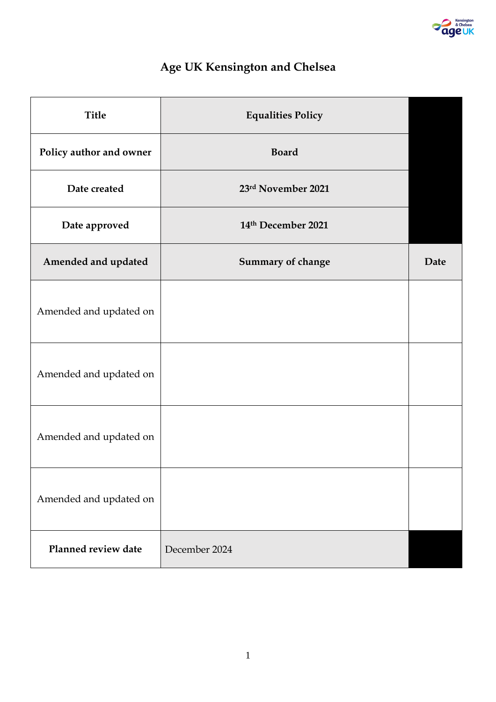

# **Age UK Kensington and Chelsea**

| <b>Title</b>            | <b>Equalities Policy</b> |             |
|-------------------------|--------------------------|-------------|
| Policy author and owner | <b>Board</b>             |             |
| Date created            | 23rd November 2021       |             |
| Date approved           | 14th December 2021       |             |
| Amended and updated     | Summary of change        | <b>Date</b> |
| Amended and updated on  |                          |             |
| Amended and updated on  |                          |             |
| Amended and updated on  |                          |             |
| Amended and updated on  |                          |             |
| Planned review date     | December 2024            |             |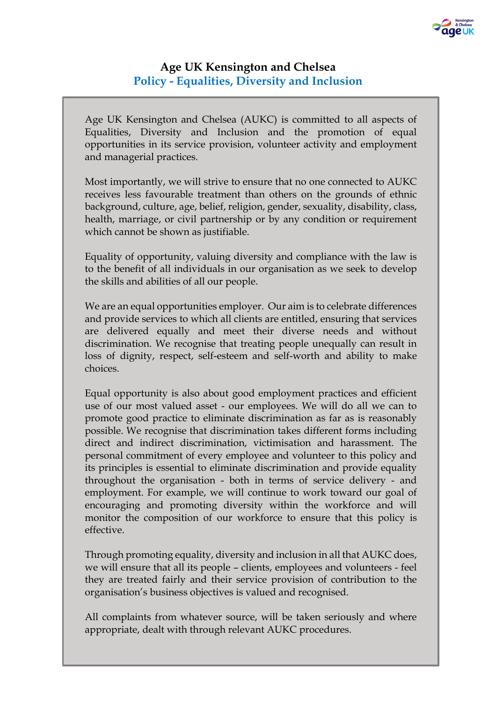# **Age UK Kensington and Chelsea Policy - Equalities, Diversity and Inclusion**

Age UK Kensington and Chelsea (AUKC) is committed to all aspects of Equalities, Diversity and Inclusion and the promotion of equal opportunities in its service provision, volunteer activity and employment and managerial practices.

Most importantly, we will strive to ensure that no one connected to AUKC receives less favourable treatment than others on the grounds of ethnic background, culture, age, belief, religion, gender, sexuality, disability, class, health, marriage, or civil partnership or by any condition or requirement which cannot be shown as justifiable.

Equality of opportunity, valuing diversity and compliance with the law is to the benefit of all individuals in our organisation as we seek to develop the skills and abilities of all our people.

We are an equal opportunities employer. Our aim is to celebrate differences and provide services to which all clients are entitled, ensuring that services are delivered equally and meet their diverse needs and without discrimination. We recognise that treating people unequally can result in loss of dignity, respect, self-esteem and self-worth and ability to make choices.

Equal opportunity is also about good employment practices and efficient use of our most valued asset - our employees. We will do all we can to promote good practice to eliminate discrimination as far as is reasonably possible. We recognise that discrimination takes different forms including direct and indirect discrimination, victimisation and harassment. The personal commitment of every employee and volunteer to this policy and its principles is essential to eliminate discrimination and provide equality throughout the organisation - both in terms of service delivery - and employment. For example, we will continue to work toward our goal of encouraging and promoting diversity within the workforce and will monitor the composition of our workforce to ensure that this policy is effective.

Through promoting equality, diversity and inclusion in all that AUKC does, we will ensure that all its people – clients, employees and volunteers - feel they are treated fairly and their service provision of contribution to the organisation's business objectives is valued and recognised.

All complaints from whatever source, will be taken seriously and where appropriate, dealt with through relevant AUKC procedures.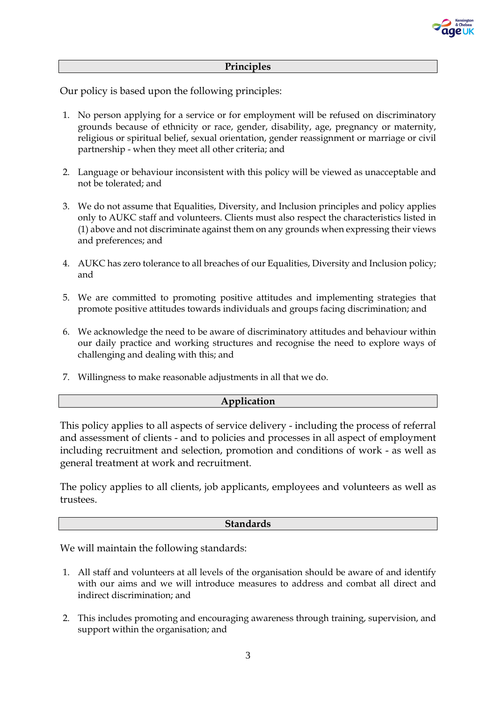

#### **Principles**

Our policy is based upon the following principles:

- 1. No person applying for a service or for employment will be refused on discriminatory grounds because of ethnicity or race, gender, disability, age, pregnancy or maternity, religious or spiritual belief, sexual orientation, gender reassignment or marriage or civil partnership - when they meet all other criteria; and
- 2. Language or behaviour inconsistent with this policy will be viewed as unacceptable and not be tolerated; and
- 3. We do not assume that Equalities, Diversity, and Inclusion principles and policy applies only to AUKC staff and volunteers. Clients must also respect the characteristics listed in (1) above and not discriminate against them on any grounds when expressing their views and preferences; and
- 4. AUKC has zero tolerance to all breaches of our Equalities, Diversity and Inclusion policy; and
- 5. We are committed to promoting positive attitudes and implementing strategies that promote positive attitudes towards individuals and groups facing discrimination; and
- 6. We acknowledge the need to be aware of discriminatory attitudes and behaviour within our daily practice and working structures and recognise the need to explore ways of challenging and dealing with this; and
- 7. Willingness to make reasonable adjustments in all that we do.

# **Application**

This policy applies to all aspects of service delivery - including the process of referral and assessment of clients - and to policies and processes in all aspect of employment including recruitment and selection, promotion and conditions of work - as well as general treatment at work and recruitment.

The policy applies to all clients, job applicants, employees and volunteers as well as trustees.

#### **Standards**

We will maintain the following standards:

- 1. All staff and volunteers at all levels of the organisation should be aware of and identify with our aims and we will introduce measures to address and combat all direct and indirect discrimination; and
- 2. This includes promoting and encouraging awareness through training, supervision, and support within the organisation; and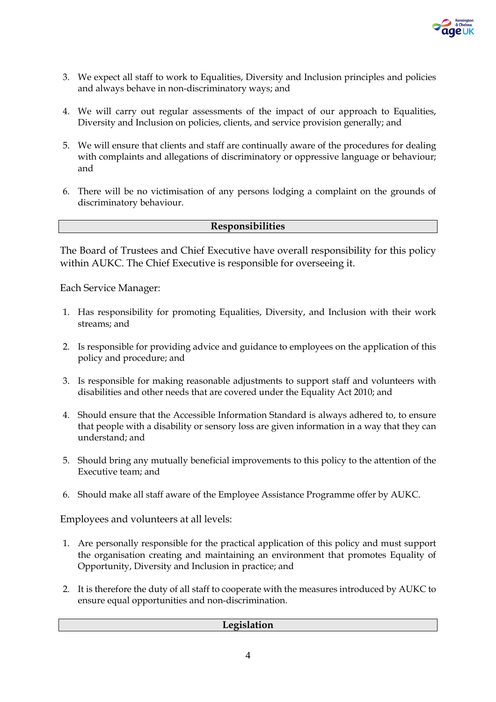

- 3. We expect all staff to work to Equalities, Diversity and Inclusion principles and policies and always behave in non-discriminatory ways; and
- 4. We will carry out regular assessments of the impact of our approach to Equalities, Diversity and Inclusion on policies, clients, and service provision generally; and
- 5. We will ensure that clients and staff are continually aware of the procedures for dealing with complaints and allegations of discriminatory or oppressive language or behaviour; and
- 6. There will be no victimisation of any persons lodging a complaint on the grounds of discriminatory behaviour.

#### **Responsibilities**

The Board of Trustees and Chief Executive have overall responsibility for this policy within AUKC. The Chief Executive is responsible for overseeing it.

Each Service Manager:

- 1. Has responsibility for promoting Equalities, Diversity, and Inclusion with their work streams; and
- 2. Is responsible for providing advice and guidance to employees on the application of this policy and procedure; and
- 3. Is responsible for making reasonable adjustments to support staff and volunteers with disabilities and other needs that are covered under the Equality Act 2010; and
- 4. Should ensure that the Accessible Information Standard is always adhered to, to ensure that people with a disability or sensory loss are given information in a way that they can understand; and
- 5. Should bring any mutually beneficial improvements to this policy to the attention of the Executive team; and
- 6. Should make all staff aware of the Employee Assistance Programme offer by AUKC.

Employees and volunteers at all levels:

- 1. Are personally responsible for the practical application of this policy and must support the organisation creating and maintaining an environment that promotes Equality of Opportunity, Diversity and Inclusion in practice; and
- 2. It is therefore the duty of all staff to cooperate with the measures introduced by AUKC to ensure equal opportunities and non-discrimination.

# **Legislation**